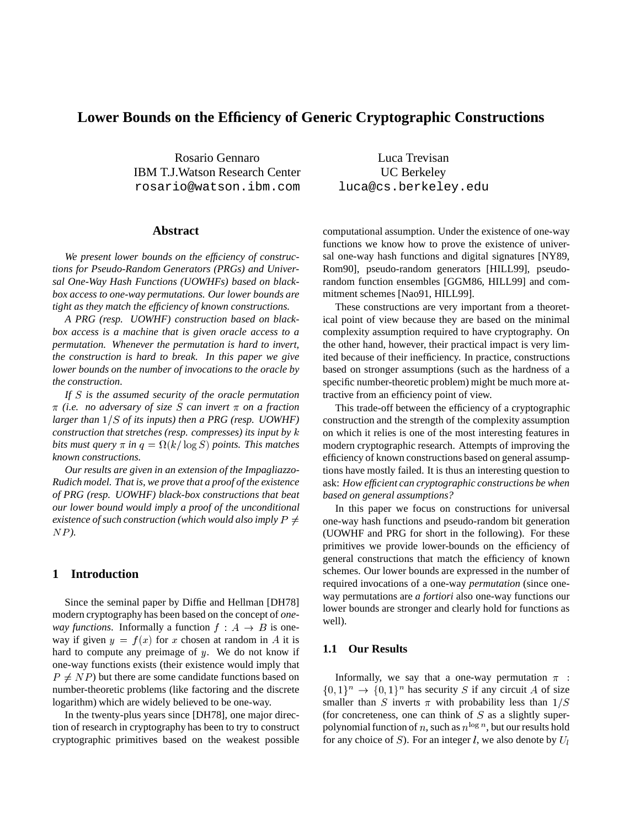# **Lower Bounds on the Efficiency of Generic Cryptographic Constructions**

Rosario Gennaro IBM T.J.Watson Research Center rosario@watson.ibm.com

#### **Abstract**

*We present lower bounds on the efficiency of constructions for Pseudo-Random Generators (PRGs) and Universal One-Way Hash Functions (UOWHFs) based on blackbox access to one-way permutations. Our lower bounds are tight as they match the efficiency of known constructions.*

*A PRG (resp. UOWHF) construction based on blackbox access is a machine that is given oracle access to a permutation. Whenever the permutation is hard to invert, the construction is hard to break. In this paper we give lower bounds on the number of invocations to the oracle by the construction.*

*If* S *is the assumed security of the oracle permutation*  $\pi$  (*i.e. no adversary of size S can invert*  $\pi$  *on a fraction larger than*  $1/S$  *of its inputs) then a PRG (resp. UOWHF) construction that stretches (resp. compresses) its input by* k bits must query  $\pi$  in  $q = \Omega(k/\log S)$  points. This matches *known constructions.*

*Our results are given in an extension of the Impagliazzo-Rudich model. That is, we prove that a proof of the existence of PRG (resp. UOWHF) black-box constructions that beat our lower bound would imply a proof of the unconditional existence of such construction (which would also imply*  $P \neq$  $NP$ ).

## **1 Introduction**

Since the seminal paper by Diffie and Hellman [DH78] modern cryptography has been based on the concept of *oneway functions*. Informally a function  $f : A \rightarrow B$  is oneway if given  $y = f(x)$  for x chosen at random in A it is hard to compute any preimage of  $y$ . We do not know if one-way functions exists (their existence would imply that  $P \neq NP$ ) but there are some candidate functions based on number-theoretic problems (like factoring and the discrete logarithm) which are widely believed to be one-way.

In the twenty-plus years since [DH78], one major direction of research in cryptography has been to try to construct cryptographic primitives based on the weakest possible

Luca Trevisan UC Berkeley luca@cs.berkeley.edu

computational assumption. Under the existence of one-way functions we know how to prove the existence of universal one-way hash functions and digital signatures [NY89, Rom90], pseudo-random generators [HILL99], pseudorandom function ensembles [GGM86, HILL99] and commitment schemes [Nao91, HILL99].

These constructions are very important from a theoretical point of view because they are based on the minimal complexity assumption required to have cryptography. On the other hand, however, their practical impact is very limited because of their inefficiency. In practice, constructions based on stronger assumptions (such as the hardness of a specific number-theoretic problem) might be much more attractive from an efficiency point of view.

This trade-off between the efficiency of a cryptographic construction and the strength of the complexity assumption on which it relies is one of the most interesting features in modern cryptographic research. Attempts of improving the efficiency of known constructions based on general assumptions have mostly failed. It is thus an interesting question to ask: *How efficient can cryptographic constructions be when based on general assumptions?*

In this paper we focus on constructions for universal one-way hash functions and pseudo-random bit generation (UOWHF and PRG for short in the following). For these primitives we provide lower-bounds on the efficiency of general constructions that match the efficiency of known schemes. Our lower bounds are expressed in the number of required invocations of a one-way *permutation* (since oneway permutations are *a fortiori* also one-way functions our lower bounds are stronger and clearly hold for functions as well).

#### **1.1 Our Results**

Informally, we say that a one-way permutation  $\pi$ :  $\{0,1\}^n \rightarrow \{0,1\}^n$  has security S if any circuit A of size smaller than S inverts  $\pi$  with probability less than  $1/S$ (for concreteness, one can think of  $S$  as a slightly superpolynomial function of n, such as  $n^{\log n}$ , but our results hold for any choice of S). For an integer l, we also denote by  $U_l$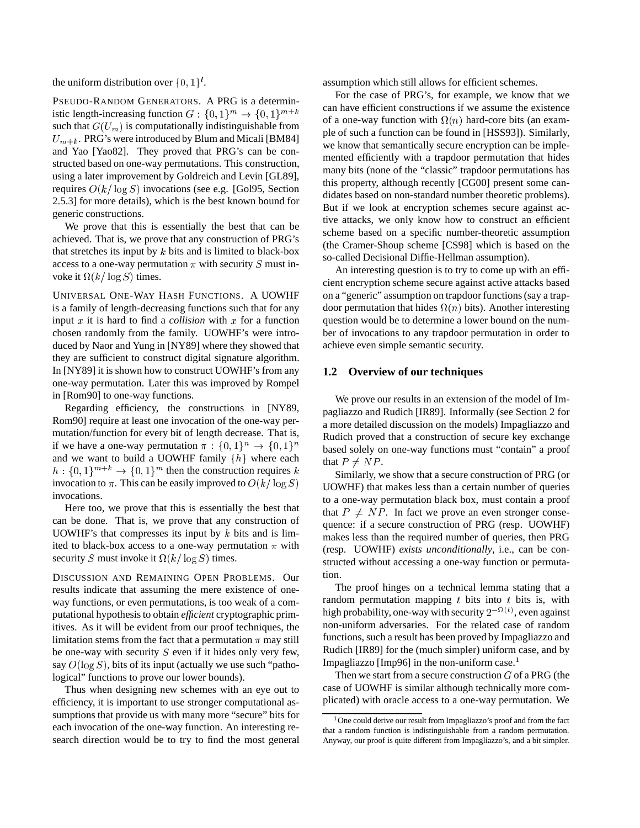the uniform distribution over  $\{0,1\}^l$ .

PSEUDO-RANDOM GENERATORS. A PRG is a deterministic length-increasing function  $G : \{0,1\}^m \to \{0,1\}^{m+k}$ such that  $G(U_m)$  is computationally indistinguishable from  $U_{m+k}$ . PRG's were introduced by Blum and Micali [BM84] and Yao [Yao82]. They proved that PRG's can be constructed based on one-way permutations. This construction, using a later improvement by Goldreich and Levin [GL89], requires  $O(k/\log S)$  invocations (see e.g. [Gol95, Section 2.5.3] for more details), which is the best known bound for generic constructions.

We prove that this is essentially the best that can be achieved. That is, we prove that any construction of PRG's that stretches its input by  $k$  bits and is limited to black-box access to a one-way permutation  $\pi$  with security S must invoke it  $\Omega(k/\log S)$  times.

UNIVERSAL ONE-WAY HASH FUNCTIONS. A UOWHF is a family of length-decreasing functions such that for any input  $x$  it is hard to find a *collision* with  $x$  for a function chosen randomly from the family. UOWHF's were introduced by Naor and Yung in [NY89] where they showed that they are sufficient to construct digital signature algorithm. In [NY89] it is shown how to construct UOWHF's from any one-way permutation. Later this was improved by Rompel in [Rom90] to one-way functions.

Regarding efficiency, the constructions in [NY89, Rom90] require at least one invocation of the one-way permutation/function for every bit of length decrease. That is, if we have a one-way permutation  $\pi : \{0,1\}^n \to \{0,1\}^n$ and we want to build a UOWHF family  $\{h\}$  where each  $h: \{0,1\}^{m+k} \to \{0,1\}^m$  then the construction requires k invocation to  $\pi$ . This can be easily improved to  $O(k/\log S)$ invocations.

Here too, we prove that this is essentially the best that can be done. That is, we prove that any construction of UOWHF's that compresses its input by  $k$  bits and is limited to black-box access to a one-way permutation  $\pi$  with security S must invoke it  $\Omega(k/\log S)$  times.

DISCUSSION AND REMAINING OPEN PROBLEMS. Our results indicate that assuming the mere existence of oneway functions, or even permutations, is too weak of a computational hypothesis to obtain *efficient* cryptographic primitives. As it will be evident from our proof techniques, the limitation stems from the fact that a permutation  $\pi$  may still be one-way with security  $S$  even if it hides only very few, say  $O(\log S)$ , bits of its input (actually we use such "pathological" functions to prove our lower bounds).

Thus when designing new schemes with an eye out to efficiency, it is important to use stronger computational assumptions that provide us with many more "secure" bits for each invocation of the one-way function. An interesting research direction would be to try to find the most general assumption which still allows for efficient schemes.

For the case of PRG's, for example, we know that we can have efficient constructions if we assume the existence of a one-way function with  $\Omega(n)$  hard-core bits (an example of such a function can be found in [HSS93]). Similarly, we know that semantically secure encryption can be implemented efficiently with a trapdoor permutation that hides many bits (none of the "classic" trapdoor permutations has this property, although recently [CG00] present some candidates based on non-standard number theoretic problems). But if we look at encryption schemes secure against active attacks, we only know how to construct an efficient scheme based on a specific number-theoretic assumption (the Cramer-Shoup scheme [CS98] which is based on the so-called Decisional Diffie-Hellman assumption).

An interesting question is to try to come up with an efficient encryption scheme secure against active attacks based on a "generic" assumption on trapdoor functions (say a trapdoor permutation that hides  $\Omega(n)$  bits). Another interesting question would be to determine a lower bound on the number of invocations to any trapdoor permutation in order to achieve even simple semantic security.

#### **1.2 Overview of our techniques**

We prove our results in an extension of the model of Impagliazzo and Rudich [IR89]. Informally (see Section 2 for a more detailed discussion on the models) Impagliazzo and Rudich proved that a construction of secure key exchange based solely on one-way functions must "contain" a proof that  $P \neq NP$ .

Similarly, we show that a secure construction of PRG (or UOWHF) that makes less than a certain number of queries to a one-way permutation black box, must contain a proof that  $P \neq NP$ . In fact we prove an even stronger consequence: if a secure construction of PRG (resp. UOWHF) makes less than the required number of queries, then PRG (resp. UOWHF) *exists unconditionally*, i.e., can be constructed without accessing a one-way function or permutation.

The proof hinges on a technical lemma stating that a random permutation mapping  $t$  bits into  $t$  bits is, with high probability, one-way with security  $2^{-\Omega(t)}$ , even against non-uniform adversaries. For the related case of random functions, such a result has been proved by Impagliazzo and Rudich [IR89] for the (much simpler) uniform case, and by Impagliazzo [Imp96] in the non-uniform case.<sup>1</sup>

Then we start from a secure construction  $G$  of a PRG (the case of UOWHF is similar although technically more complicated) with oracle access to a one-way permutation. We

<sup>&</sup>lt;sup>1</sup> One could derive our result from Impagliazzo's proof and from the fact that a random function is indistinguishable from a random permutation. Anyway, our proof is quite different from Impagliazzo's, and a bit simpler.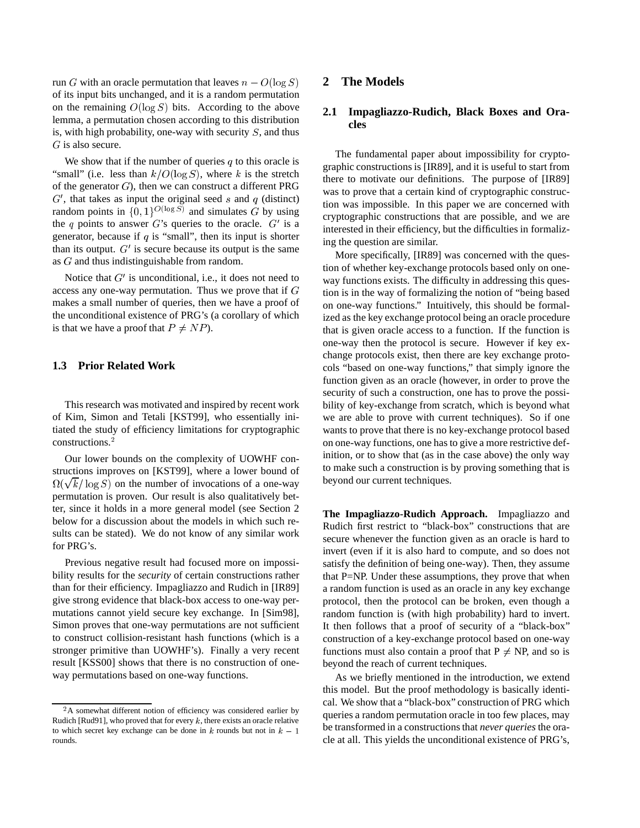run G with an oracle permutation that leaves  $n - O(\log S)$ of its input bits unchanged, and it is a random permutation on the remaining  $O(\log S)$  bits. According to the above lemma, a permutation chosen according to this distribution is, with high probability, one-way with security  $S$ , and thus  $G$  is also secure.

We show that if the number of queries  $q$  to this oracle is "small" (i.e. less than  $k/O(\log S)$ , where k is the stretch of the generator  $G$ ), then we can construct a different PRG  $G'$ , that takes as input the original seed s and q (distinct) random points in  $\{0,1\}^{O(\log S)}$  and simulates G by using the q points to answer G's queries to the oracle.  $G'$  is a generator, because if  $q$  is "small", then its input is shorter than its output.  $G'$  is secure because its output is the same as G and thus indistinguishable from random.

Notice that  $G'$  is unconditional, i.e., it does not need to access any one-way permutation. Thus we prove that if G makes a small number of queries, then we have a proof of the unconditional existence of PRG's (a corollary of which is that we have a proof that  $P \neq NP$ ).

#### **1.3 Prior Related Work**

This research was motivated and inspired by recent work of Kim, Simon and Tetali [KST99], who essentially initiated the study of efficiency limitations for cryptographic constructions.<sup>2</sup>

Our lower bounds on the complexity of UOWHF constructions improves on [KST99], where a lower bound of  $\Omega(\sqrt{k}/\log S)$  on the number of invocations of a one-way permutation is proven. Our result is also qualitatively better, since it holds in a more general model (see Section 2 below for a discussion about the models in which such results can be stated). We do not know of any similar work for PRG's.

Previous negative result had focused more on impossibility results for the *security* of certain constructions rather than for their efficiency. Impagliazzo and Rudich in [IR89] give strong evidence that black-box access to one-way permutations cannot yield secure key exchange. In [Sim98], Simon proves that one-way permutations are not sufficient to construct collision-resistant hash functions (which is a stronger primitive than UOWHF's). Finally a very recent result [KSS00] shows that there is no construction of oneway permutations based on one-way functions.

## **2 The Models**

### **2.1 Impagliazzo-Rudich, Black Boxes and Oracles**

The fundamental paper about impossibility for cryptographic constructions is [IR89], and it is useful to start from there to motivate our definitions. The purpose of [IR89] was to prove that a certain kind of cryptographic construction was impossible. In this paper we are concerned with cryptographic constructions that are possible, and we are interested in their efficiency, but the difficulties in formalizing the question are similar.

More specifically, [IR89] was concerned with the question of whether key-exchange protocols based only on oneway functions exists. The difficulty in addressing this question is in the way of formalizing the notion of "being based on one-way functions." Intuitively, this should be formalized as the key exchange protocol being an oracle procedure that is given oracle access to a function. If the function is one-way then the protocol is secure. However if key exchange protocols exist, then there are key exchange protocols "based on one-way functions," that simply ignore the function given as an oracle (however, in order to prove the security of such a construction, one has to prove the possibility of key-exchange from scratch, which is beyond what we are able to prove with current techniques). So if one wants to prove that there is no key-exchange protocol based on one-way functions, one has to give a more restrictive definition, or to show that (as in the case above) the only way to make such a construction is by proving something that is beyond our current techniques.

**The Impagliazzo-Rudich Approach.** Impagliazzo and Rudich first restrict to "black-box" constructions that are secure whenever the function given as an oracle is hard to invert (even if it is also hard to compute, and so does not satisfy the definition of being one-way). Then, they assume that P=NP. Under these assumptions, they prove that when a random function is used as an oracle in any key exchange protocol, then the protocol can be broken, even though a random function is (with high probability) hard to invert. It then follows that a proof of security of a "black-box" construction of a key-exchange protocol based on one-way functions must also contain a proof that  $P \neq NP$ , and so is beyond the reach of current techniques.

As we briefly mentioned in the introduction, we extend this model. But the proof methodology is basically identical. We show that a "black-box" construction of PRG which queries a random permutation oracle in too few places, may be transformed in a constructions that *never queries* the oracle at all. This yields the unconditional existence of PRG's,

<sup>2</sup>A somewhat different notion of efficiency was considered earlier by Rudich [Rud91], who proved that for every  $k$ , there exists an oracle relative to which secret key exchange can be done in  $k$  rounds but not in  $k - 1$ rounds.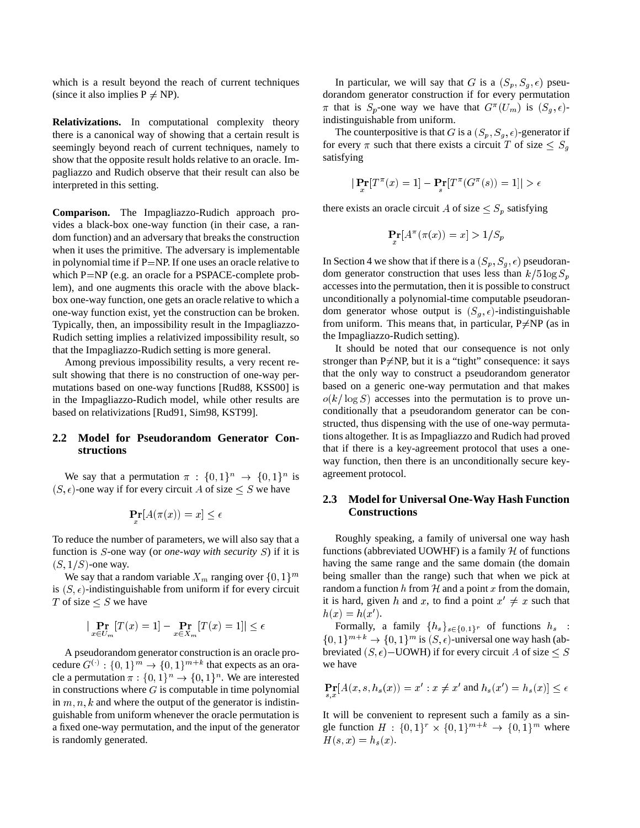which is a result beyond the reach of current techniques (since it also implies  $P \neq NP$ ).

**Relativizations.** In computational complexity theory there is a canonical way of showing that a certain result is seemingly beyond reach of current techniques, namely to show that the opposite result holds relative to an oracle. Impagliazzo and Rudich observe that their result can also be interpreted in this setting.

**Comparison.** The Impagliazzo-Rudich approach provides a black-box one-way function (in their case, a random function) and an adversary that breaks the construction when it uses the primitive. The adversary is implementable in polynomial time if  $P=NP$ . If one uses an oracle relative to which P=NP (e.g. an oracle for a PSPACE-complete problem), and one augments this oracle with the above blackbox one-way function, one gets an oracle relative to which a one-way function exist, yet the construction can be broken. Typically, then, an impossibility result in the Impagliazzo-Rudich setting implies a relativized impossibility result, so that the Impagliazzo-Rudich setting is more general.

Among previous impossibility results, a very recent result showing that there is no construction of one-way permutations based on one-way functions [Rud88, KSS00] is in the Impagliazzo-Rudich model, while other results are based on relativizations [Rud91, Sim98, KST99].

## **2.2 Model for Pseudorandom Generator Constructions**

We say that a permutation  $\pi : \{0,1\}^n \to \{0,1\}^n$  is  $(S, \epsilon)$ -one way if for every circuit A of size  $\leq S$  we have

$$
\Pr_x[A(\pi(x)) = x] \le \epsilon
$$

To reduce the number of parameters, we will also say that a function is S-one way (or *one-way with security* S) if it is  $(S, 1/S)$ -one way.

We say that a random variable  $X_m$  ranging over  $\{0, 1\}^m$ is  $(S, \epsilon)$ -indistinguishable from uniform if for every circuit T of size  $\leq S$  we have

$$
\big|\Pr_{x \in U_m}[T(x) = 1] - \Pr_{x \in X_m}[T(x) = 1]\big| \le \epsilon
$$

A pseudorandom generator construction is an oracle procedure  $G^{(\cdot)}: \{0,1\}^m \to \{0,1\}^{m+k}$  that expects as an oracle a permutation  $\pi : \{0,1\}^n \to \{0,1\}^n$ . We are interested in constructions where  $G$  is computable in time polynomial in  $m, n, k$  and where the output of the generator is indistinguishable from uniform whenever the oracle permutation is a fixed one-way permutation, and the input of the generator is randomly generated.

In particular, we will say that G is a  $(S_p, S_g, \epsilon)$  pseudorandom generator construction if for every permutation  $\pi$  that is  $S_p$ -one way we have that  $G^{\pi}(U_m)$  is  $(S_q, \epsilon)$ indistinguishable from uniform.

The counterpositive is that G is a  $(S_p, S_q, \epsilon)$ -generator if for every  $\pi$  such that there exists a circuit T of size  $\leq S_g$ satisfying

$$
|\Pr_{\mathbf{x}}[T^{\pi}(x) = 1] - \Pr_{\mathbf{x}}[T^{\pi}(G^{\pi}(s)) = 1]| > \epsilon
$$

there exists an oracle circuit A of size  $\leq S_p$  satisfying

$$
\Pr_x[A^\pi(\pi(x)) = x] > 1/S_p
$$

In Section 4 we show that if there is a  $(S_p, S_g, \epsilon)$  pseudorandom generator construction that uses less than  $k/5 \log S_p$ accesses into the permutation, then it is possible to construct unconditionally a polynomial-time computable pseudorandom generator whose output is  $(S_q, \epsilon)$ -indistinguishable from uniform. This means that, in particular,  $P \neq NP$  (as in the Impagliazzo-Rudich setting).

It should be noted that our consequence is not only stronger than  $P\neq NP$ , but it is a "tight" consequence: it says that the only way to construct a pseudorandom generator based on a generic one-way permutation and that makes  $o(k/\log S)$  accesses into the permutation is to prove unconditionally that a pseudorandom generator can be constructed, thus dispensing with the use of one-way permutations altogether. It is as Impagliazzo and Rudich had proved that if there is a key-agreement protocol that uses a oneway function, then there is an unconditionally secure keyagreement protocol.

# **2.3 Model for Universal One-Way Hash Function Constructions**

Roughly speaking, a family of universal one way hash functions (abbreviated UOWHF) is a family  $H$  of functions having the same range and the same domain (the domain being smaller than the range) such that when we pick at random a function h from  $H$  and a point x from the domain, it is hard, given h and x, to find a point  $x' \neq x$  such that  $h(x) = h(x').$ 

Formally, a family  $\{h_s\}_{s\in\{0,1\}^r}$  of functions  $h_s$ :  $\{0,1\}^{m+k} \rightarrow \{0,1\}^m$  is  $(S, \epsilon)$ -universal one way hash (abbreviated  $(S, \epsilon)$ -UOWH) if for every circuit A of size  $S$ we have

$$
\Pr_{s,x}[A(x,s,h_s(x)) = x' : x \neq x' \text{ and } h_s(x') = h_s(x)] \le \epsilon
$$

It will be convenient to represent such a family as a single function  $H: \{0,1\}^r \times \{0,1\}^{m+k} \rightarrow \{0,1\}^m$  where  $H(s, x) = h<sub>s</sub>(x)$ .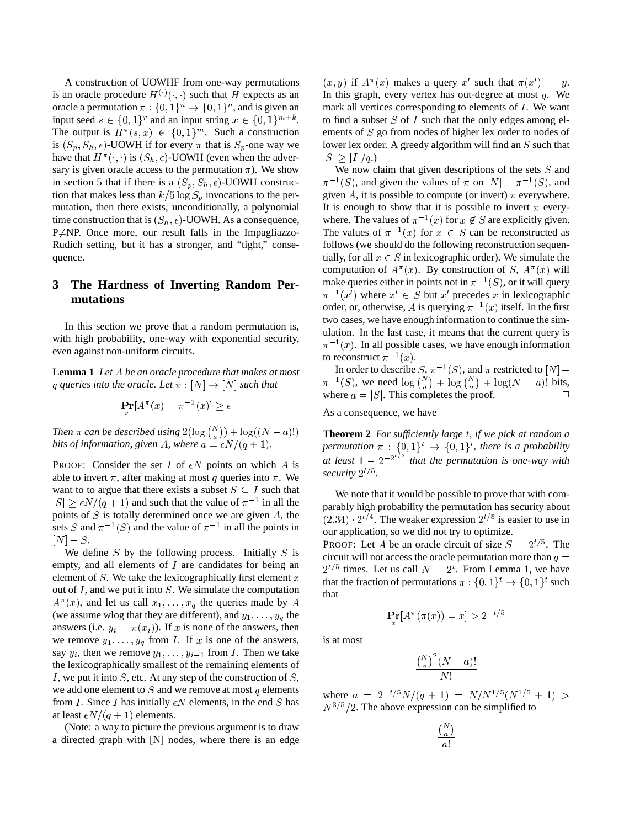A construction of UOWHF from one-way permutations is an oracle procedure  $H^{(+)}($ ,  $)$  such that H expects as an oracle a permutation  $\pi : \{0,1\}^n \to \{0,1\}^n$ , and is given an input seed  $s \in \{0,1\}^r$  and an input string  $x \in \{0,1\}^{m+k}$ . The output is  $H^{\pi}(s, x) \in \{0, 1\}^m$ . Such a construction is  $(S_p, S_h, \epsilon)$ -UOWH if for every  $\pi$  that is  $S_p$ -one way we have that  $H^{\pi}(\cdot, \cdot)$  is  $(S_h, \epsilon)$ -UOWH (even when the adversary is given oracle access to the permutation  $\pi$ ). We show in section 5 that if there is a  $(S_p, S_h, \epsilon)$ -UOWH construction that makes less than  $k/5 \log S_p$  invocations to the permutation, then there exists, unconditionally, a polynomial time construction that is  $(S_h, \epsilon)$ -UOWH. As a consequence,  $P\neq NP$ . Once more, our result falls in the Impagliazzo-Rudich setting, but it has a stronger, and "tight," consequence.

# **3 The Hardness of Inverting Random Permutations**

In this section we prove that a random permutation is, with high probability, one-way with exponential security, even against non-uniform circuits.

**Lemma 1** *Let* A *be an oracle procedure that makes at most* q queries into the oracle. Let  $\pi : [N] \to [N]$  such that

$$
\mathbf{Pr}[A^{\pi}(x) = \pi^{-1}(x)] \ge \epsilon
$$

*Then*  $\pi$  can be described using  $2(\log {N \choose a}) + \log((N - a)!)$ *bits of information, given A, where*  $a = \frac{\epsilon N}{q + 1}$ *.* 

PROOF: Consider the set I of  $\epsilon N$  points on which A is able to invert  $\pi$ , after making at most q queries into  $\pi$ . We want to to argue that there exists a subset  $S \subseteq I$  such that  $|S| \ge \frac{\epsilon N}{q + 1}$  and such that the value of  $\pi^{-1}$  in all the points of  $S$  is totally determined once we are given  $A$ , the sets S and  $\pi^{-1}(S)$  and the value of  $\pi^{-1}$  in all the points in  $[N] - S.$ 

We define  $S$  by the following process. Initially  $S$  is empty, and all elements of <sup>I</sup> are candidates for being an element of  $S$ . We take the lexicographically first element  $x$ out of  $I$ , and we put it into  $S$ . We simulate the computation  $A^{\pi}(x)$ , and let us call  $x_1, \ldots, x_q$  the queries made by A (we assume wlog that they are different), and  $y_1, \ldots, y_q$  the answers (i.e.  $y_i = \pi(x_i)$ ). If x is none of the answers, then we remove  $y_1, \ldots, y_q$  from *I*. If *x* is one of the answers, say  $y_i$ , then we remove  $y_1, \ldots, y_{i-1}$  from *I*. Then we take the lexicographically smallest of the remaining elements of I, we put it into  $S$ , etc. At any step of the construction of  $S$ , we add one element to  $S$  and we remove at most  $q$  elements from *I*. Since *I* has initially  $\epsilon N$  elements, in the end *S* has at least  $\epsilon N/(q + 1)$  elements.

(Note: a way to picture the previous argument is to draw a directed graph with [N] nodes, where there is an edge

 $(x, y)$  if  $A^{\pi}(x)$  makes a query x' such that  $\pi(x') = y$ . In this graph, every vertex has out-degree at most  $q$ . We mark all vertices corresponding to elements of  $I$ . We want to find a subset  $S$  of  $I$  such that the only edges among elements of S go from nodes of higher lex order to nodes of lower lex order. A greedy algorithm will find an S such that  $|S| \geq |I|/q.$ 

We now claim that given descriptions of the sets  $S$  and  $\pi^{-1}(S)$ , and given the values of  $\pi$  on  $[N] - \pi^{-1}(S)$ , and given A, it is possible to compute (or invert)  $\pi$  everywhere. It is enough to show that it is possible to invert  $\pi$  everywhere. The values of  $\pi^{-1}(x)$  for  $x \notin S$  are explicitly given. The values of  $\pi^{-1}(x)$  for  $x \in S$  can be reconstructed as follows (we should do the following reconstruction sequentially, for all  $x \in S$  in lexicographic order). We simulate the computation of  $A^{\pi}(x)$ . By construction of S,  $A^{\pi}(x)$  will make queries either in points not in  $\pi^{-1}(S)$ , or it will query  $\pi^{-1}(x')$  where  $x' \in S$  but x' precedes x in lexicographic order, or, otherwise, A is querying  $\pi^{-1}(x)$  itself. In the first two cases, we have enough information to continue the simulation. In the last case, it means that the current query is  $\pi^{-1}(x)$ . In all possible cases, we have enough information to reconstruct  $\pi^{-1}(x)$ .

In order to describe  $S, \pi^{-1}(S)$ , and  $\pi$  restricted to  $[N]$  –  $\pi^{-1}(S)$ , we need  $\log {N \choose a}$  $+ \log {N \choose a}$  $+ \log(N - a)!$  bits, where  $a = |S|$ . This completes the proof.

As a consequence, we have

**Theorem 2** *For sufficiently large* <sup>t</sup>*, if we pick at random a permutation*  $\pi$  :  $\{0,1\}^t$   $\rightarrow$   $\{0,1\}^t$ , there is a probability at least  $1 - 2^{-2^{k/2}}$  that the permutation is one-way with *security*  $2^{t/5}$ *.* 

We note that it would be possible to prove that with comparably high probability the permutation has security about  $(2.34) \cdot 2^{t/4}$ . The weaker expression  $2^{t/5}$  is easier to use in our application, so we did not try to optimize.

**PROOF:** Let A be an oracle circuit of size  $S = 2^{t/5}$ . The circuit will not access the oracle permutation more than  $q =$  $2^{t/5}$  times. Let us call  $N = 2^t$ . From Lemma 1, we have that the fraction of permutations  $\pi : \{0,1\}^t \to \{0,1\}^t$  such that

$$
\Pr_x[A^\pi(\pi(x)) = x] > 2^{-t/5}
$$

is at most

$$
\frac{\binom{N}{a}^2 (N-a)!}{N!}
$$

where  $a = 2^{-t/5} N/(q + 1) = N/N^{1/5}(N^{1/5} + 1) >$  $N^{3/5}/2$ . The above expression can be simplified to

$$
\frac{\binom{N}{a}}{a!}
$$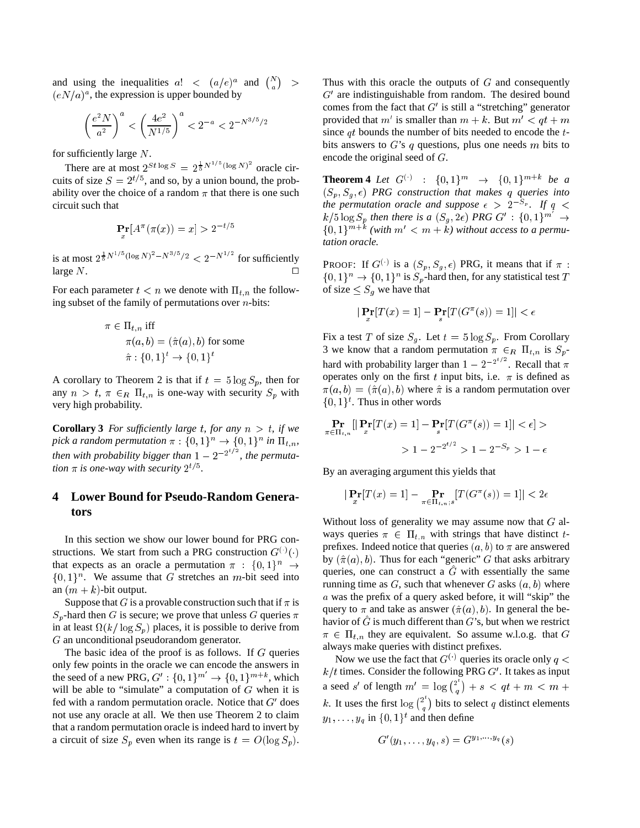and using the inequalities  $a! < (a/e)^a$  and  $\binom{N}{a}$  $(eN/a)^a$ , the expression is upper bounded by

$$
\left(\frac{e^2N}{a^2}\right)^a < \left(\frac{4e^2}{N^{1/5}}\right)^a < 2^{-a} < 2^{-N^{3/5}/2}
$$

for sufficiently large  $N$ .

There are at most  $2^{St \log S} = 2^{\frac{1}{5} N^{1/5} (\log N)^2}$  oracle circuits of size  $S = 2^{t/5}$ , and so, by a union bound, the probability over the choice of a random  $\pi$  that there is one such circuit such that

$$
\Pr[A^{\pi}(\pi(x)) = x] > 2^{-t/5}
$$

is at most  $2^{\frac{1}{5}N^{1/6}(\log N)^2 - N^{5/6}/2} < 2^{-N^{1/2}}$  for sufficiently large  $N$ .

For each parameter  $t < n$  we denote with  $\prod_{t,n}$  the following subset of the family of permutations over  $n$ -bits:

$$
\pi \in \Pi_{t,n} \text{ iff}
$$

$$
\pi(a,b) = (\hat{\pi}(a), b) \text{ for some}
$$

$$
\hat{\pi} : \{0,1\}^t \to \{0,1\}^t
$$

A corollary to Theorem 2 is that if  $t = 5 \log S_p$ , then for any  $n > t$ ,  $\pi \in_R \Pi_{t,n}$  is one-way with security  $S_p$  with very high probability.

**Corollary 3** *For sufficiently large t, for any*  $n > t$ *, if we pick a random permutation*  $\pi : \{0,1\}^n \rightarrow \{0,1\}^n$  in  $\Pi_{t,n}$ , *then with probability bigger than*  $1 - 2^{-2^{i/2}}$ *, the permutation*  $\pi$  *is one-way with security*  $2^{t/5}$ *.* 

# **4 Lower Bound for Pseudo-Random Generators**

In this section we show our lower bound for PRG constructions. We start from such a PRG construction  $G^{(\cdot)}(\cdot)$ that expects as an oracle a permutation  $\pi : \{0,1\}^n \rightarrow$  $\{0,1\}^n$ . We assume that G stretches an m-bit seed into an  $(m + k)$ -bit output.

Suppose that G is a provable construction such that if  $\pi$  is  $S_p$ -hard then G is secure; we prove that unless G queries  $\pi$ in at least  $\Omega(k/\log S_p)$  places, it is possible to derive from G an unconditional pseudorandom generator.

The basic idea of the proof is as follows. If  $G$  queries only few points in the oracle we can encode the answers in the seed of a new PRG,  $G' : \{0,1\}^{m'} \rightarrow \{0,1\}^{m+k}$ , which will be able to "simulate" a computation of  $G$  when it is fed with a random permutation oracle. Notice that  $G'$  does not use any oracle at all. We then use Theorem 2 to claim that a random permutation oracle is indeed hard to invert by a circuit of size  $S_p$  even when its range is  $t = O(\log S_p)$ . Thus with this oracle the outputs of  $G$  and consequently  $G'$  are indistinguishable from random. The desired bound comes from the fact that  $G'$  is still a "stretching" generator provided that m' is smaller than  $m + k$ . But  $m' < qt + m$ since  $qt$  bounds the number of bits needed to encode the  $t$ bits answers to G's q questions, plus one needs  $m$  bits to encode the original seed of G.

**Theorem 4** *Let*  $G^{(*)}$  :  $\{0,1\}^m$   $\rightarrow$   $\{0,1\}^{m+k}$  *be a*  $(S_p, S_q, \epsilon)$  *PRG construction that makes q queries into the permutation oracle and suppose*  $\epsilon > 2^{-S_p}$ . If  $q <$  $k/5 \log S_p$  then there is a  $(S_g, 2\epsilon)$  PRG  $G^{\prime}$  :  $\{0,1\}^{m^{\prime}}$   $\rightarrow$  $\{0,1\}^{m+k}$  (with  $m' < m+k$ ) without access to a permu*tation oracle.*

**PROOF:** If  $G^{(\cdot)}$  is a  $(S_p, S_q, \epsilon)$  **PRG**, it means that if  $\pi$ :  $\{0,1\}^n \rightarrow \{0,1\}^n$  is  $S_p$ -hard then, for any statistical test T of size  $\leq S_g$  we have that

$$
|\Pr_x[T(x) = 1] - \Pr_x[T(G^\pi(s)) = 1]| < \epsilon
$$

Fix a test T of size  $S_g$ . Let  $t = 5 \log S_p$ . From Corollary 3 we know that a random permutation  $\pi \in_R \Pi_{t,n}$  is  $S_p$ hard with probability larger than  $1 - 2^{-2^{i/2}}$ . Recall that  $\pi$ operates only on the first t input bits, i.e.  $\pi$  is defined as  $\pi(a, b) = (\hat{\pi}(a), b)$  where  $\hat{\pi}$  is a random permutation over  $\{0,1\}^t$ . Thus in other words

$$
\Pr_{\pi \in \Pi_{t,n}}[|\Pr_x[T(x) = 1] - \Pr_s[T(G^{\pi}(s)) = 1]| < \epsilon] >
$$
  
> 1 - 2^{-2^{t/2}} > 1 - 2^{-S\_p} > 1 - \epsilon

By an averaging argument this yields that

$$
|\Pr_x[T(x) = 1] - \Pr_{\pi \in \Pi_{t,n};s}[T(G^{\pi}(s)) = 1]| < 2\epsilon
$$

Without loss of generality we may assume now that  $G$  always queries  $\pi \in \Pi_{t,n}$  with strings that have distinct tprefixes. Indeed notice that queries  $(a, b)$  to  $\pi$  are answered by  $(\hat{\pi}(a), b)$ . Thus for each "generic" G that asks arbitrary queries, one can construct a  $G$  with essentially the same running time as  $G$ , such that whenever  $G$  asks  $(a, b)$  where <sup>a</sup> was the prefix of a query asked before, it will "skip" the query to  $\pi$  and take as answer  $(\hat{\pi}(a), b)$ . In general the behavior of  $\tilde{G}$  is much different than  $G$ 's, but when we restrict  $\pi \in \Pi_{t,n}$  they are equivalent. So assume w.l.o.g. that G always make queries with distinct prefixes.

Now we use the fact that  $G^{(\cdot)}$  queries its oracle only  $q <$  $k/t$  times. Consider the following PRG  $G'$ . It takes as input a seed s' of length  $m' = \log {2 \choose a} + s < qt + m < m +$  $\sim$ k. It uses the first  $\log {2 \choose a}$  bits to select q distinct elements  $\mathbf{v}$  $y_1, \ldots, y_q$  in  $\{0, 1\}^t$  and then define

$$
G'(y_1,\ldots,y_q,s)=G^{y_1,\ldots,y_q}(s)
$$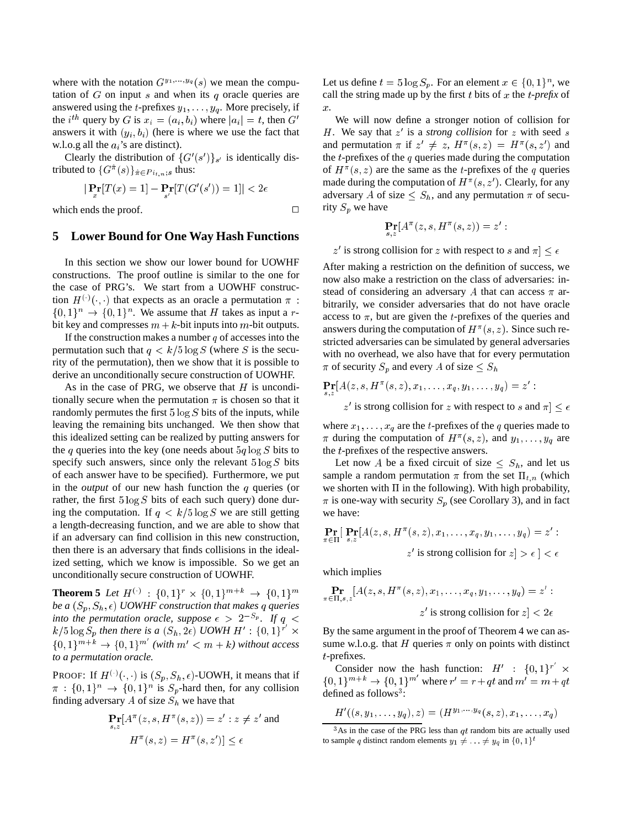where with the notation  $G^{y_1,...,y_q}(s)$  we mean the computation of  $G$  on input  $s$  and when its  $q$  oracle queries are answered using the *t*-prefixes  $y_1, \ldots, y_q$ . More precisely, if the *i*<sup>th</sup> query by G is  $x_i = (a_i, b_i)$  where  $|a_i| = t$ , then G' answers it with  $(y_i, b_i)$  (here is where we use the fact that w.l.o.g all the  $a_i$ 's are distinct).

Clearly the distribution of  $\{G'(s')\}_{s'}$  is identically distributed to  $\{G^{\hat{\pi}}(s)\}_{\hat{\pi} \in P i_{t,n}}$ ; thus:

$$
|\Pr_x[T(x) = 1] - \Pr_{s'}[T(G'(s')) = 1]| < 2\epsilon
$$

which ends the proof.  $\Box$ 

#### **5 Lower Bound for One Way Hash Functions**

In this section we show our lower bound for UOWHF constructions. The proof outline is similar to the one for the case of PRG's. We start from a UOWHF construction  $H^{(+)}($ , ) that expects as an oracle a permutation  $\pi$ :  $\{0,1\}^n \rightarrow \{0,1\}^n$ . We assume that H takes as input a rbit key and compresses  $m + k$ -bit inputs into m-bit outputs.

If the construction makes a number  $q$  of accesses into the permutation such that  $q < k/5 \log S$  (where S is the security of the permutation), then we show that it is possible to derive an unconditionally secure construction of UOWHF.

As in the case of PRG, we observe that  $H$  is unconditionally secure when the permutation  $\pi$  is chosen so that it randomly permutes the first  $5 \log S$  bits of the inputs, while leaving the remaining bits unchanged. We then show that this idealized setting can be realized by putting answers for the q queries into the key (one needs about  $5q \log S$  bits to specify such answers, since only the relevant  $5 \log S$  bits of each answer have to be specified). Furthermore, we put in the *output* of our new hash function the <sup>q</sup> queries (or rather, the first  $5 \log S$  bits of each such query) done during the computation. If  $q < k/5 \log S$  we are still getting a length-decreasing function, and we are able to show that if an adversary can find collision in this new construction, then there is an adversary that finds collisions in the idealized setting, which we know is impossible. So we get an unconditionally secure construction of UOWHF.

**Theorem 5** Let  $H^{(+)}$ :  $\{0,1\}^r \times \{0,1\}^{m+k} \rightarrow \{0,1\}^m$ *be a*  $(S_p, S_h, \epsilon)$  *UOWHF construction that makes q queries into the permutation oracle, suppose*  $\epsilon > 2^{-S_p}$ . If  $q <$  $k/5 \log S_p$  then there is a  $(S_h, 2\epsilon)$  UOWH  $H'$  :  $\{0,1\}^{r'}$   $\times$  $\{0,1\}^{m+k} \rightarrow \{0,1\}^m$  (with  $m' < m+k$ ) without access *to a permutation oracle.*

**PROOF:** If  $H^{(\cdot)}(\cdot, \cdot)$  is  $(S_p, S_h, \epsilon)$ -UOWH, it means that if  $\pi : \{0,1\}^n \rightarrow \{0,1\}^n$  is  $S_p$ -hard then, for any collision finding adversary  $A$  of size  $S_h$  we have that

$$
\Pr_{s,z}[A^{\pi}(z,s,H^{\pi}(s,z)) = z' : z \neq z' \text{ and}
$$

$$
H^{\pi}(s,z) = H^{\pi}(s,z')] \leq \epsilon
$$

Let us define  $t = 5 \log S_p$ . For an element  $x \in \{0, 1\}^n$ , we call the string made up by the first  $t$  bits of  $x$  the  $t$ -prefix of x.

We will now define a stronger notion of collision for H. We say that  $z'$  is a *strong collision* for  $z$  with seed  $s$ and permutation  $\pi$  if  $z' \neq z$ ,  $H^{\pi}(s, z) = H^{\pi}(s, z')$  and the  $t$ -prefixes of the  $q$  queries made during the computation of  $H^{\pi}(s, z)$  are the same as the t-prefixes of the q queries made during the computation of  $H^{\pi}(s, z')$ . Clearly, for any adversary A of size  $\leq S_h$ , and any permutation  $\pi$  of security  $S_p$  we have

$$
\Pr_{s,z}[A^{\pi}(z,s,H^{\pi}(s,z)) = z':
$$

 $z'$  is strong collision for z with respect to s and  $\pi$ ]  $\leq \epsilon$ 

After making a restriction on the definition of success, we now also make a restriction on the class of adversaries: instead of considering an adversary A that can access  $\pi$  arbitrarily, we consider adversaries that do not have oracle access to  $\pi$ , but are given the t-prefixes of the queries and answers during the computation of  $H^{\pi}(s, z)$ . Since such restricted adversaries can be simulated by general adversaries with no overhead, we also have that for every permutation  $\pi$  of security  $S_p$  and every A of size  $\leq S_h$ 

$$
\Pr_{s,z}[A(z,s,H^{\pi}(s,z),x_1,\ldots,x_q,y_1,\ldots,y_q) = z':
$$

z' is strong collision for z with respect to s and  $\pi$ ]  $\leq \epsilon$ 

where  $x_1, \ldots, x_q$  are the *t*-prefixes of the *q* queries made to  $\pi$  during the computation of  $H^{\pi}(s, z)$ , and  $y_1, \ldots, y_q$  are the <sup>t</sup>-prefixes of the respective answers.

Let now A be a fixed circuit of size  $\leq S_h$ , and let us sample a random permutation  $\pi$  from the set  $\Pi_{t,n}$  (which we shorten with  $\Pi$  in the following). With high probability,  $\pi$  is one-way with security  $S_p$  (see Corollary 3), and in fact we have:

$$
\Pr_{\pi \in \Pi}[\Pr_{s,z}[A(z,s,H^{\pi}(s,z),x_1,\ldots,x_q,y_1,\ldots,y_q) = z':z' \text{ is strong collision for } z] > \epsilon ] < \epsilon
$$

which implies

$$
\Pr_{\pi \in \Pi, s, z} [A(z, s, H^{\pi}(s, z), x_1, \dots, x_q, y_1, \dots, y_q) = z' :
$$
  

$$
z' \text{ is strong collision for } z < 2\epsilon
$$

By the same argument in the proof of Theorem 4 we can assume w.l.o.g. that H queries  $\pi$  only on points with distinct <sup>t</sup>-prefixes.

Consider now the hash function:  $H' = \{0,1\}^{r'} \times$  $\{0,1\}^{m+k} \to \{0,1\}^m$  where  $r' = r + qt$  and  $m' = m + qt$ defined as follows<sup>3</sup>:

$$
H'((s, y_1, \ldots, y_q), z) = (H^{y_1, \ldots, y_q}(s, z), x_1, \ldots, x_q)
$$

 $3$ As in the case of the PRG less than qt random bits are actually used to sample q distinct random elements  $y_1 \neq \ldots \neq y_q$  in  $\{0, 1\}^t$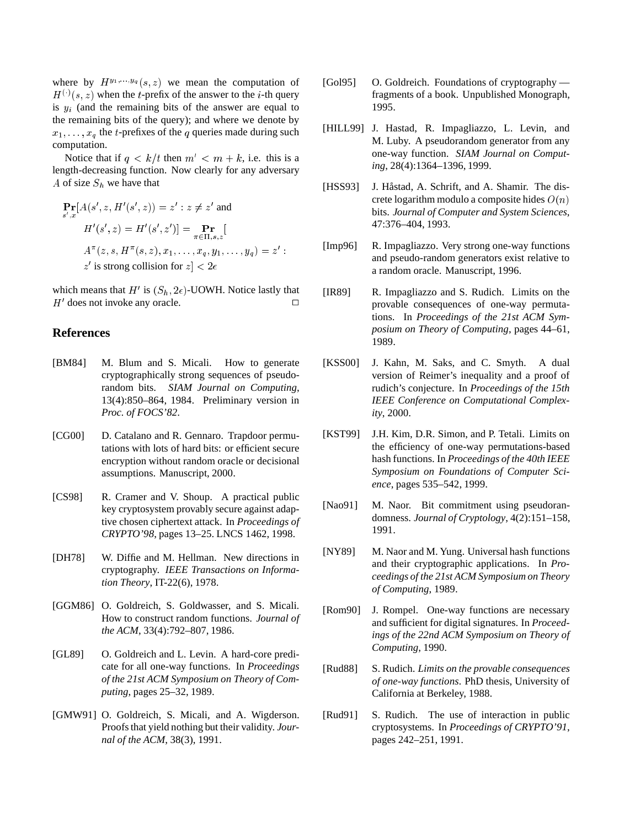where by  $H^{y_1,...,y_q}(s, z)$  we mean the computation of  $H^{(+)}(s, z)$  when the t-prefix of the answer to the *i*-th query is  $y_i$  (and the remaining bits of the answer are equal to the remaining bits of the query); and where we denote by  $x_1, \ldots, x_q$  the *t*-prefixes of the *q* queries made during such computation.

Notice that if  $q \leq k/t$  then  $m' \leq m + k$ , i.e. this is a length-decreasing function. Now clearly for any adversary A of size  $S_h$  we have that

$$
\Pr_{s',x}[A(s', z, H'(s', z)) = z' : z \neq z' \text{ and}
$$

$$
H'(s', z) = H'(s', z')] = \Pr_{\pi \in \Pi, s, z}[
$$

$$
A^{\pi}(z, s, H^{\pi}(s, z), x_1, \dots, x_q, y_1, \dots, y_q) = z' :
$$

$$
z' \text{ is strong collision for } z] < 2\epsilon
$$

which means that H' is  $(S_h, 2\epsilon)$ -UOWH. Notice lastly that  $H'$  does not invoke any oracle.

# **References**

- [BM84] M. Blum and S. Micali. How to generate cryptographically strong sequences of pseudorandom bits. *SIAM Journal on Computing*, 13(4):850–864, 1984. Preliminary version in *Proc. of FOCS'82*.
- [CG00] D. Catalano and R. Gennaro. Trapdoor permutations with lots of hard bits: or efficient secure encryption without random oracle or decisional assumptions. Manuscript, 2000.
- [CS98] R. Cramer and V. Shoup. A practical public key cryptosystem provably secure against adaptive chosen ciphertext attack. In *Proceedings of CRYPTO'98*, pages 13–25. LNCS 1462, 1998.
- [DH78] W. Diffie and M. Hellman. New directions in cryptography. *IEEE Transactions on Information Theory*, IT-22(6), 1978.
- [GGM86] O. Goldreich, S. Goldwasser, and S. Micali. How to construct random functions. *Journal of the ACM*, 33(4):792–807, 1986.
- [GL89] O. Goldreich and L. Levin. A hard-core predicate for all one-way functions. In *Proceedings of the 21st ACM Symposium on Theory of Computing*, pages 25–32, 1989.
- [GMW91] O. Goldreich, S. Micali, and A. Wigderson. Proofs that yield nothing but their validity. *Journal of the ACM*, 38(3), 1991.
- [Gol95] O. Goldreich. Foundations of cryptography fragments of a book. Unpublished Monograph, 1995.
- [HILL99] J. Hastad, R. Impagliazzo, L. Levin, and M. Luby. A pseudorandom generator from any one-way function. *SIAM Journal on Computing*, 28(4):1364–1396, 1999.
- [HSS93] J. Håstad, A. Schrift, and A. Shamir. The discrete logarithm modulo a composite hides  $O(n)$ bits. *Journal of Computer and System Sciences*, 47:376–404, 1993.
- [Imp96] R. Impagliazzo. Very strong one-way functions and pseudo-random generators exist relative to a random oracle. Manuscript, 1996.
- [IR89] R. Impagliazzo and S. Rudich. Limits on the provable consequences of one-way permutations. In *Proceedings of the 21st ACM Symposium on Theory of Computing*, pages 44–61, 1989.
- [KSS00] J. Kahn, M. Saks, and C. Smyth. A dual version of Reimer's inequality and a proof of rudich's conjecture. In *Proceedings of the 15th IEEE Conference on Computational Complexity*, 2000.
- [KST99] J.H. Kim, D.R. Simon, and P. Tetali. Limits on the efficiency of one-way permutations-based hash functions. In *Proceedings of the 40th IEEE Symposium on Foundations of Computer Science*, pages 535–542, 1999.
- [Nao91] M. Naor. Bit commitment using pseudorandomness. *Journal of Cryptology*, 4(2):151–158, 1991.
- [NY89] M. Naor and M. Yung. Universal hash functions and their cryptographic applications. In *Proceedings of the 21st ACM Symposium on Theory of Computing*, 1989.
- [Rom90] J. Rompel. One-way functions are necessary and sufficient for digital signatures. In *Proceedings of the 22nd ACM Symposium on Theory of Computing*, 1990.
- [Rud88] S. Rudich. *Limits on the provable consequences of one-way functions*. PhD thesis, University of California at Berkeley, 1988.
- [Rud91] S. Rudich. The use of interaction in public cryptosystems. In *Proceedings of CRYPTO'91*, pages 242–251, 1991.